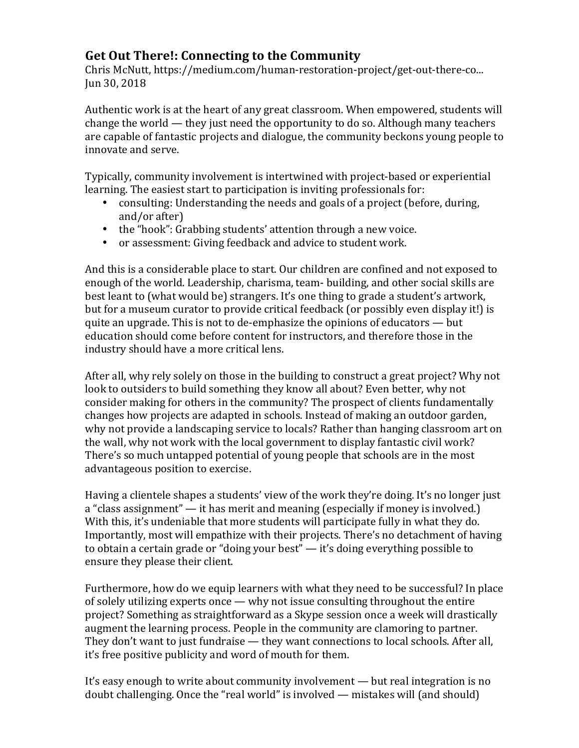## **Get Out There!: Connecting to the Community**

Chris McNutt, https://medium.com/human-restoration-project/get-out-there-co... Jun 30, 2018

Authentic work is at the heart of any great classroom. When empowered, students will change the world  $-$  they just need the opportunity to do so. Although many teachers are capable of fantastic projects and dialogue, the community beckons young people to innovate and serve.

Typically, community involvement is intertwined with project-based or experiential learning. The easiest start to participation is inviting professionals for:

- consulting: Understanding the needs and goals of a project (before, during, and/or after)
- the "hook": Grabbing students' attention through a new voice.
- or assessment: Giving feedback and advice to student work.

And this is a considerable place to start. Our children are confined and not exposed to enough of the world. Leadership, charisma, team- building, and other social skills are best leant to (what would be) strangers. It's one thing to grade a student's artwork, but for a museum curator to provide critical feedback (or possibly even display it!) is quite an upgrade. This is not to de-emphasize the opinions of educators  $-$  but education should come before content for instructors, and therefore those in the industry should have a more critical lens.

After all, why rely solely on those in the building to construct a great project? Why not look to outsiders to build something they know all about? Even better, why not consider making for others in the community? The prospect of clients fundamentally changes how projects are adapted in schools. Instead of making an outdoor garden, why not provide a landscaping service to locals? Rather than hanging classroom art on the wall, why not work with the local government to display fantastic civil work? There's so much untapped potential of young people that schools are in the most advantageous position to exercise.

Having a clientele shapes a students' view of the work they're doing. It's no longer just a "class assignment"  $-$  it has merit and meaning (especially if money is involved.) With this, it's undeniable that more students will participate fully in what they do. Importantly, most will empathize with their projects. There's no detachment of having to obtain a certain grade or "doing your best"  $-$  it's doing everything possible to ensure they please their client.

Furthermore, how do we equip learners with what they need to be successful? In place of solely utilizing experts once  $-$  why not issue consulting throughout the entire project? Something as straightforward as a Skype session once a week will drastically augment the learning process. People in the community are clamoring to partner. They don't want to just fundraise  $-$  they want connections to local schools. After all, it's free positive publicity and word of mouth for them.

It's easy enough to write about community involvement — but real integration is no doubt challenging. Once the "real world" is involved — mistakes will (and should)